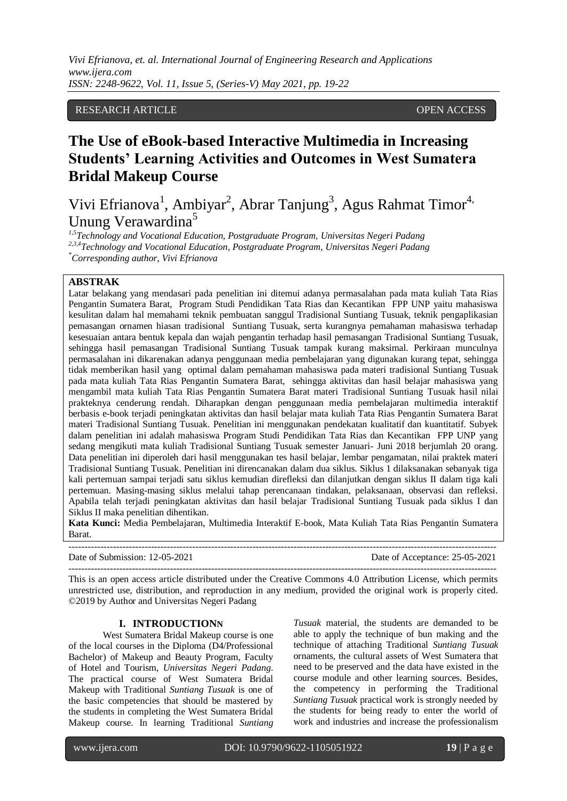*Vivi Efrianova, et. al. International Journal of Engineering Research and Applications www.ijera.com ISSN: 2248-9622, Vol. 11, Issue 5, (Series-V) May 2021, pp. 19-22*

# RESEARCH ARTICLE OPEN ACCESS

# **The Use of eBook-based Interactive Multimedia in Increasing Students' Learning Activities and Outcomes in West Sumatera Bridal Makeup Course**

Vivi Efrianova<sup>1</sup>, Ambiyar<sup>2</sup>, Abrar Tanjung<sup>3</sup>, Agus Rahmat Timor<sup>4,</sup> Unung Verawardina<sup>5</sup>

*1,5Technology and Vocational Education, Postgraduate Program, Universitas Negeri Padang 2,3,4Technology and Vocational Education, Postgraduate Program, Universitas Negeri Padang \*Corresponding author, Vivi Efrianova*

# **ABSTRAK**

Latar belakang yang mendasari pada penelitian ini ditemui adanya permasalahan pada mata kuliah Tata Rias Pengantin Sumatera Barat, Program Studi Pendidikan Tata Rias dan Kecantikan FPP UNP yaitu mahasiswa kesulitan dalam hal memahami teknik pembuatan sanggul Tradisional Suntiang Tusuak, teknik pengaplikasian pemasangan ornamen hiasan tradisional Suntiang Tusuak, serta kurangnya pemahaman mahasiswa terhadap kesesuaian antara bentuk kepala dan wajah pengantin terhadap hasil pemasangan Tradisional Suntiang Tusuak, sehingga hasil pemasangan Tradisional Suntiang Tusuak tampak kurang maksimal. Perkiraan munculnya permasalahan ini dikarenakan adanya penggunaan media pembelajaran yang digunakan kurang tepat, sehingga tidak memberikan hasil yang optimal dalam pemahaman mahasiswa pada materi tradisional Suntiang Tusuak pada mata kuliah Tata Rias Pengantin Sumatera Barat, sehingga aktivitas dan hasil belajar mahasiswa yang mengambil mata kuliah Tata Rias Pengantin Sumatera Barat materi Tradisional Suntiang Tusuak hasil nilai prakteknya cenderung rendah. Diharapkan dengan penggunaan media pembelajaran multimedia interaktif berbasis e-book terjadi peningkatan aktivitas dan hasil belajar mata kuliah Tata Rias Pengantin Sumatera Barat materi Tradisional Suntiang Tusuak. Penelitian ini menggunakan pendekatan kualitatif dan kuantitatif. Subyek dalam penelitian ini adalah mahasiswa Program Studi Pendidikan Tata Rias dan Kecantikan FPP UNP yang sedang mengikuti mata kuliah Tradisional Suntiang Tusuak semester Januari- Juni 2018 berjumlah 20 orang. Data penelitian ini diperoleh dari hasil menggunakan tes hasil belajar, lembar pengamatan, nilai praktek materi Tradisional Suntiang Tusuak. Penelitian ini direncanakan dalam dua siklus. Siklus 1 dilaksanakan sebanyak tiga kali pertemuan sampai terjadi satu siklus kemudian direfleksi dan dilanjutkan dengan siklus II dalam tiga kali pertemuan. Masing-masing siklus melalui tahap perencanaan tindakan, pelaksanaan, observasi dan refleksi. Apabila telah terjadi peningkatan aktivitas dan hasil belajar Tradisional Suntiang Tusuak pada siklus I dan Siklus II maka penelitian dihentikan.

**Kata Kunci:** Media Pembelajaran, Multimedia Interaktif E-book, Mata Kuliah Tata Rias Pengantin Sumatera Barat.

---------------------------------------------------------------------------------------------------------------------------------------

Date of Submission: 12-05-2021 Date of Acceptance: 25-05-2021

This is an open access article distributed under the Creative Commons 4.0 Attribution License, which permits unrestricted use, distribution, and reproduction in any medium, provided the original work is properly cited. ©2019 by Author and Universitas Negeri Padang

---------------------------------------------------------------------------------------------------------------------------------------

#### **I. INTRODUCTIONN**

West Sumatera Bridal Makeup course is one of the local courses in the Diploma (D4/Professional Bachelor) of Makeup and Beauty Program, Faculty of Hotel and Tourism, *Universitas Negeri Padang*. The practical course of West Sumatera Bridal Makeup with Traditional *Suntiang Tusuak* is one of the basic competencies that should be mastered by the students in completing the West Sumatera Bridal Makeup course. In learning Traditional *Suntiang* 

*Tusuak* material, the students are demanded to be able to apply the technique of bun making and the technique of attaching Traditional *Suntiang Tusuak* ornaments, the cultural assets of West Sumatera that need to be preserved and the data have existed in the course module and other learning sources. Besides, the competency in performing the Traditional *Suntiang Tusuak* practical work is strongly needed by the students for being ready to enter the world of work and industries and increase the professionalism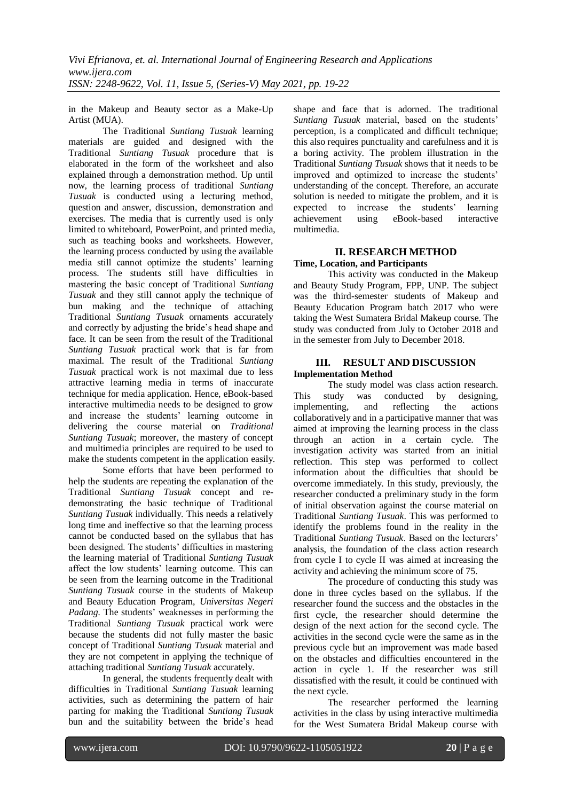in the Makeup and Beauty sector as a Make-Up Artist (MUA).

The Traditional *Suntiang Tusuak* learning materials are guided and designed with the Traditional *Suntiang Tusuak* procedure that is elaborated in the form of the worksheet and also explained through a demonstration method. Up until now, the learning process of traditional *Suntiang Tusuak* is conducted using a lecturing method, question and answer, discussion, demonstration and exercises. The media that is currently used is only limited to whiteboard, PowerPoint, and printed media, such as teaching books and worksheets. However, the learning process conducted by using the available media still cannot optimize the students' learning process. The students still have difficulties in mastering the basic concept of Traditional *Suntiang Tusuak* and they still cannot apply the technique of bun making and the technique of attaching Traditional *Suntiang Tusuak* ornaments accurately and correctly by adjusting the bride's head shape and face. It can be seen from the result of the Traditional *Suntiang Tusuak* practical work that is far from maximal. The result of the Traditional *Suntiang Tusuak* practical work is not maximal due to less attractive learning media in terms of inaccurate technique for media application. Hence, eBook-based interactive multimedia needs to be designed to grow and increase the students' learning outcome in delivering the course material on *Traditional Suntiang Tusuak*; moreover, the mastery of concept and multimedia principles are required to be used to make the students competent in the application easily.

Some efforts that have been performed to help the students are repeating the explanation of the Traditional *Suntiang Tusuak* concept and redemonstrating the basic technique of Traditional *Suntiang Tusuak* individually. This needs a relatively long time and ineffective so that the learning process cannot be conducted based on the syllabus that has been designed. The students' difficulties in mastering the learning material of Traditional *Suntiang Tusuak* affect the low students' learning outcome. This can be seen from the learning outcome in the Traditional *Suntiang Tusuak* course in the students of Makeup and Beauty Education Program, *Universitas Negeri Padang.* The students' weaknesses in performing the Traditional *Suntiang Tusuak* practical work were because the students did not fully master the basic concept of Traditional *Suntiang Tusuak* material and they are not competent in applying the technique of attaching traditional *Suntiang Tusuak* accurately.

In general, the students frequently dealt with difficulties in Traditional *Suntiang Tusuak* learning activities, such as determining the pattern of hair parting for making the Traditional *Suntiang Tusuak* bun and the suitability between the bride's head shape and face that is adorned. The traditional *Suntiang Tusuak* material, based on the students' perception, is a complicated and difficult technique; this also requires punctuality and carefulness and it is a boring activity. The problem illustration in the Traditional *Suntiang Tusuak* shows that it needs to be improved and optimized to increase the students' understanding of the concept. Therefore, an accurate solution is needed to mitigate the problem, and it is expected to increase the students' learning achievement using eBook-based interactive multimedia.

#### **II. RESEARCH METHOD Time, Location, and Participants**

This activity was conducted in the Makeup and Beauty Study Program, FPP, UNP. The subject was the third-semester students of Makeup and Beauty Education Program batch 2017 who were taking the West Sumatera Bridal Makeup course. The study was conducted from July to October 2018 and in the semester from July to December 2018.

#### **III. RESULT AND DISCUSSION Implementation Method**

The study model was class action research. This study was conducted by designing,<br>implementing, and reflecting the actions implementing, and reflecting the actions collaboratively and in a participative manner that was aimed at improving the learning process in the class through an action in a certain cycle. The investigation activity was started from an initial reflection. This step was performed to collect information about the difficulties that should be overcome immediately. In this study, previously, the researcher conducted a preliminary study in the form of initial observation against the course material on Traditional *Suntiang Tusuak*. This was performed to identify the problems found in the reality in the Traditional *Suntiang Tusuak*. Based on the lecturers' analysis, the foundation of the class action research from cycle I to cycle II was aimed at increasing the activity and achieving the minimum score of 75.

The procedure of conducting this study was done in three cycles based on the syllabus. If the researcher found the success and the obstacles in the first cycle, the researcher should determine the design of the next action for the second cycle. The activities in the second cycle were the same as in the previous cycle but an improvement was made based on the obstacles and difficulties encountered in the action in cycle 1. If the researcher was still dissatisfied with the result, it could be continued with the next cycle.

The researcher performed the learning activities in the class by using interactive multimedia for the West Sumatera Bridal Makeup course with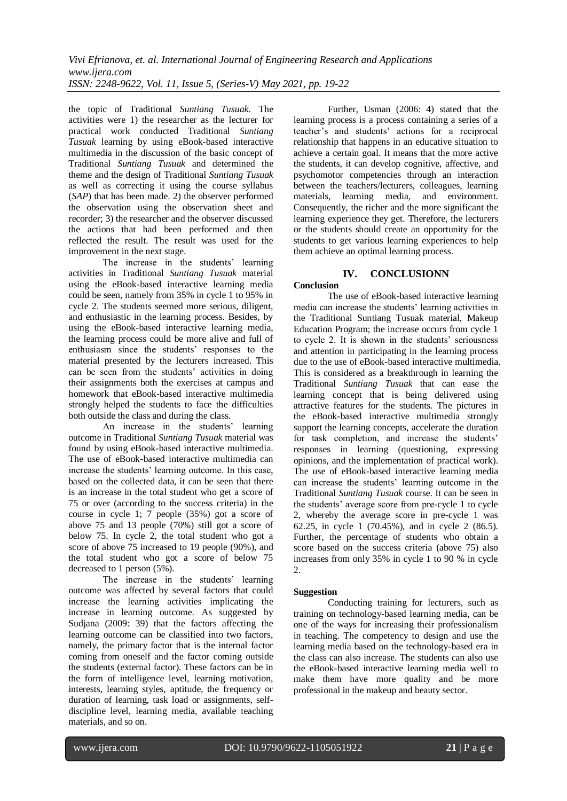the topic of Traditional *Suntiang Tusuak*. The activities were 1) the researcher as the lecturer for practical work conducted Traditional *Suntiang Tusuak* learning by using eBook-based interactive multimedia in the discussion of the basic concept of Traditional *Suntiang Tusuak* and determined the theme and the design of Traditional *Suntiang Tusuak* as well as correcting it using the course syllabus (*SAP*) that has been made. 2) the observer performed the observation using the observation sheet and recorder; 3) the researcher and the observer discussed the actions that had been performed and then reflected the result. The result was used for the improvement in the next stage.

The increase in the students' learning activities in Traditional *Suntiang Tusuak* material using the eBook-based interactive learning media could be seen, namely from 35% in cycle 1 to 95% in cycle 2. The students seemed more serious, diligent, and enthusiastic in the learning process. Besides, by using the eBook-based interactive learning media, the learning process could be more alive and full of enthusiasm since the students' responses to the material presented by the lecturers increased. This can be seen from the students' activities in doing their assignments both the exercises at campus and homework that eBook-based interactive multimedia strongly helped the students to face the difficulties both outside the class and during the class.

An increase in the students' learning outcome in Traditional *Suntiang Tusuak* material was found by using eBook-based interactive multimedia. The use of eBook-based interactive multimedia can increase the students' learning outcome. In this case, based on the collected data, it can be seen that there is an increase in the total student who get a score of 75 or over (according to the success criteria) in the course in cycle 1; 7 people (35%) got a score of above 75 and 13 people (70%) still got a score of below 75. In cycle 2, the total student who got a score of above 75 increased to 19 people (90%), and the total student who got a score of below 75 decreased to 1 person (5%).

The increase in the students' learning outcome was affected by several factors that could increase the learning activities implicating the increase in learning outcome. As suggested by Sudjana (2009: 39) that the factors affecting the learning outcome can be classified into two factors, namely, the primary factor that is the internal factor coming from oneself and the factor coming outside the students (external factor). These factors can be in the form of intelligence level, learning motivation, interests, learning styles, aptitude, the frequency or duration of learning, task load or assignments, selfdiscipline level, learning media, available teaching materials, and so on.

Further, Usman (2006: 4) stated that the learning process is a process containing a series of a teacher's and students' actions for a reciprocal relationship that happens in an educative situation to achieve a certain goal. It means that the more active the students, it can develop cognitive, affective, and psychomotor competencies through an interaction between the teachers/lecturers, colleagues, learning materials, learning media, and environment. Consequently, the richer and the more significant the learning experience they get. Therefore, the lecturers or the students should create an opportunity for the students to get various learning experiences to help them achieve an optimal learning process.

## **IV. CONCLUSIONN**

# **Conclusion**

The use of eBook-based interactive learning media can increase the students' learning activities in the Traditional Suntiang Tusuak material, Makeup Education Program; the increase occurs from cycle 1 to cycle 2. It is shown in the students' seriousness and attention in participating in the learning process due to the use of eBook-based interactive multimedia. This is considered as a breakthrough in learning the Traditional *Suntiang Tusuak* that can ease the learning concept that is being delivered using attractive features for the students. The pictures in the eBook-based interactive multimedia strongly support the learning concepts, accelerate the duration for task completion, and increase the students' responses in learning (questioning, expressing opinions, and the implementation of practical work). The use of eBook-based interactive learning media can increase the students' learning outcome in the Traditional *Suntiang Tusuak* course. It can be seen in the students' average score from pre-cycle 1 to cycle 2, whereby the average score in pre-cycle 1 was 62.25, in cycle 1 (70.45%), and in cycle 2 (86.5). Further, the percentage of students who obtain a score based on the success criteria (above 75) also increases from only 35% in cycle 1 to 90 % in cycle  $\mathcal{L}$ 

## **Suggestion**

Conducting training for lecturers, such as training on technology-based learning media, can be one of the ways for increasing their professionalism in teaching. The competency to design and use the learning media based on the technology-based era in the class can also increase. The students can also use the eBook-based interactive learning media well to make them have more quality and be more professional in the makeup and beauty sector.